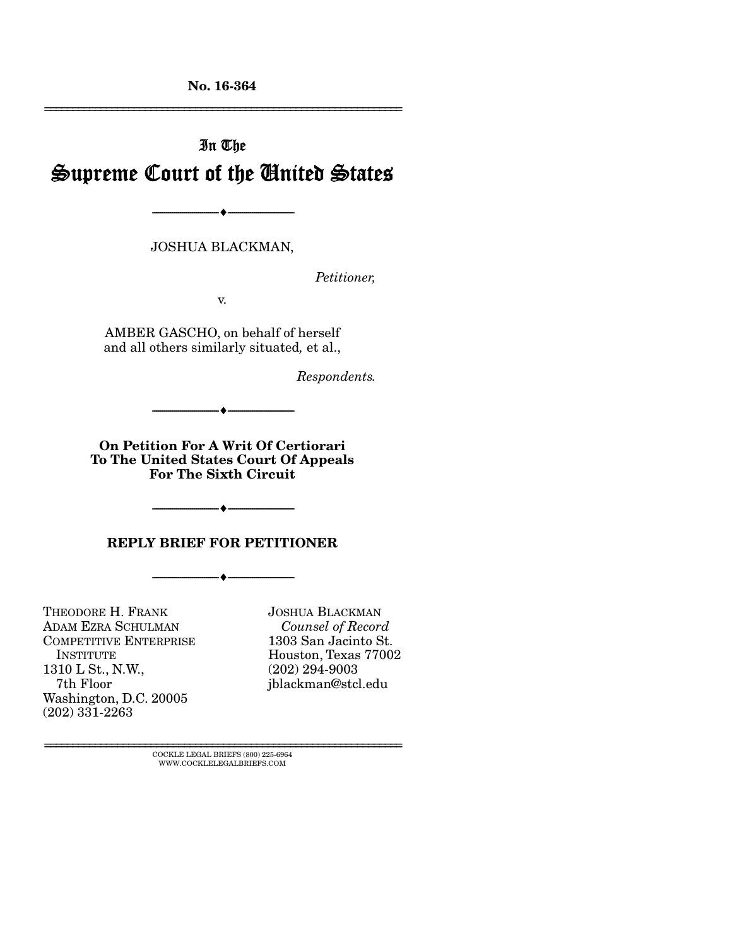No. 16-364 ================================================================

# In The Supreme Court of the United States

JOSHUA BLACKMAN,

--------------------------------- ---------------------------------

*Petitioner,* 

v.

AMBER GASCHO, on behalf of herself and all others similarly situated*,* et al.,

*Respondents.* 

On Petition For A Writ Of Certiorari To The United States Court Of Appeals For The Sixth Circuit

 $-$ 

REPLY BRIEF FOR PETITIONER

--------------------------------- ---------------------------------

--------------------------------- ---------------------------------

THEODORE H. FRANK ADAM EZRA SCHULMAN COMPETITIVE ENTERPRISE **INSTITUTE** 1310 L St., N.W., 7th Floor Washington, D.C. 20005 (202) 331-2263

JOSHUA BLACKMAN *Counsel of Record*  1303 San Jacinto St. Houston, Texas 77002 (202) 294-9003 jblackman@stcl.edu

 ${\rm COCKLE}$ LEGAL BRIEFS (800) 225-6964 WWW.COCKLELEGALBRIEFS.COM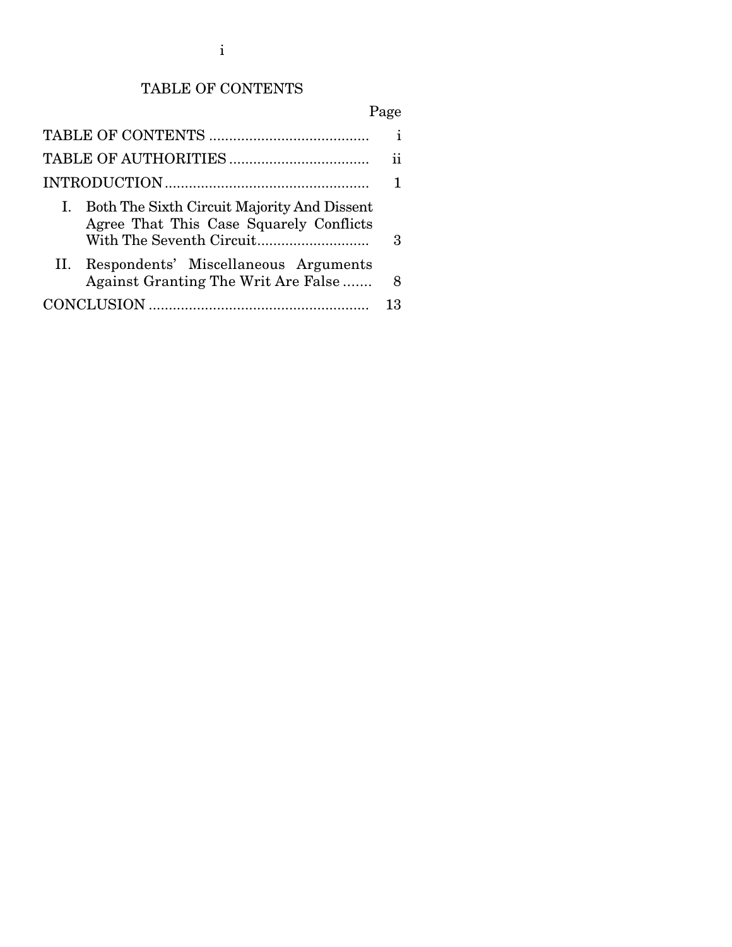## TABLE OF CONTENTS

## Page

|                                                                                           | i  |
|-------------------------------------------------------------------------------------------|----|
|                                                                                           | 11 |
|                                                                                           |    |
| I. Both The Sixth Circuit Majority And Dissent<br>Agree That This Case Squarely Conflicts | 3  |
| II. Respondents' Miscellaneous Arguments<br>Against Granting The Writ Are False           | 8  |
|                                                                                           | 13 |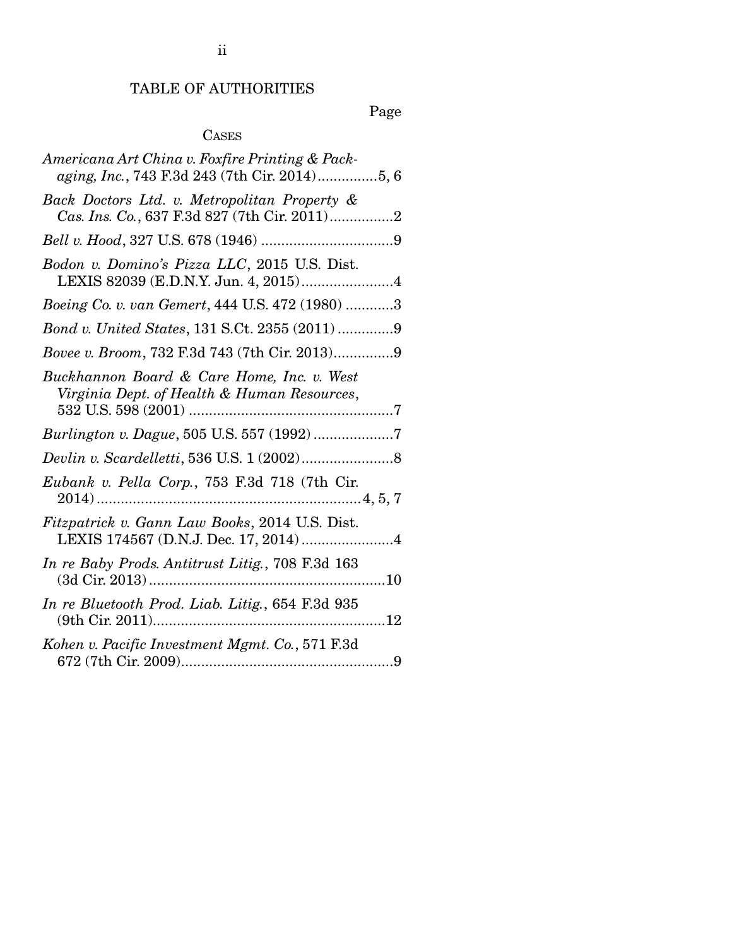Page

## CASES

| Americana Art China v. Foxfire Printing & Pack-<br>aging, Inc., 743 F.3d 243 (7th Cir. 2014)5, 6 |
|--------------------------------------------------------------------------------------------------|
| Back Doctors Ltd. v. Metropolitan Property &<br>Cas. Ins. Co., 637 F.3d 827 (7th Cir. 2011)2     |
|                                                                                                  |
| Bodon v. Domino's Pizza LLC, 2015 U.S. Dist.<br>LEXIS 82039 (E.D.N.Y. Jun. 4, 2015)4             |
| Boeing Co. v. van Gemert, 444 U.S. 472 (1980) 3                                                  |
| Bond v. United States, 131 S.Ct. 2355 (2011) 9                                                   |
| Bovee v. Broom, 732 F.3d 743 (7th Cir. 2013)9                                                    |
| Buckhannon Board & Care Home, Inc. v. West<br>Virginia Dept. of Health & Human Resources,        |
| Burlington v. Dague, 505 U.S. 557 (1992) 7                                                       |
|                                                                                                  |
| Eubank v. Pella Corp., 753 F.3d 718 (7th Cir.                                                    |
| Fitzpatrick v. Gann Law Books, 2014 U.S. Dist.<br>LEXIS 174567 (D.N.J. Dec. 17, 2014) 4          |
| In re Baby Prods. Antitrust Litig., 708 F.3d 163                                                 |
| In re Bluetooth Prod. Liab. Litig., 654 F.3d 935                                                 |
|                                                                                                  |
| Kohen v. Pacific Investment Mgmt. Co., 571 F.3d                                                  |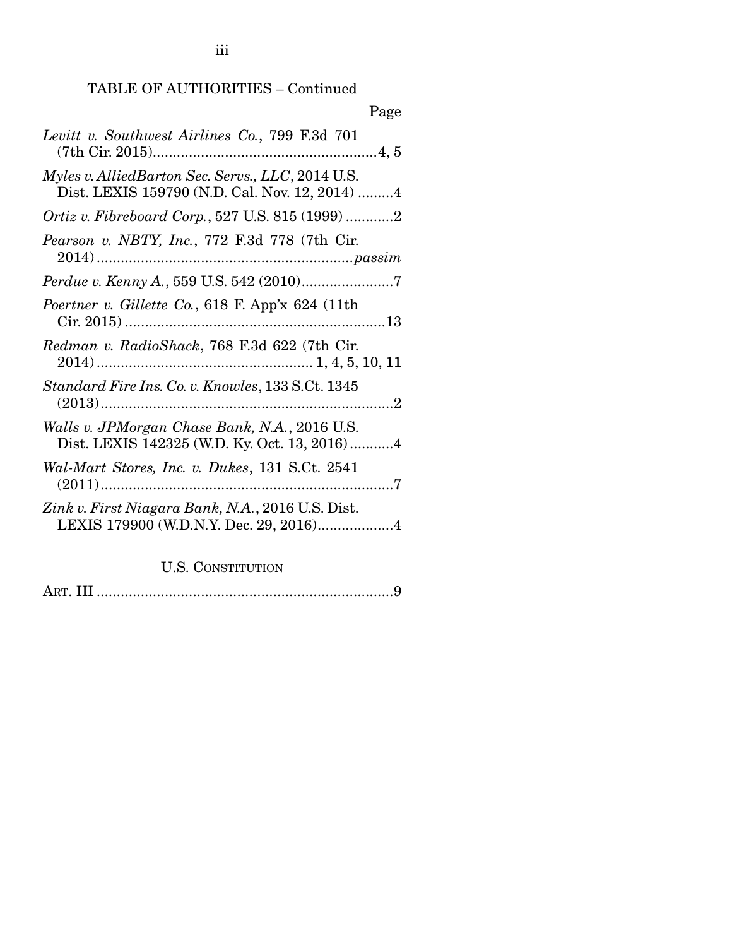TABLE OF AUTHORITIES – Continued

| Page                                                                                                |
|-----------------------------------------------------------------------------------------------------|
| Levitt v. Southwest Airlines Co., 799 F.3d 701                                                      |
| Myles v. AlliedBarton Sec. Servs., LLC, 2014 U.S.<br>Dist. LEXIS 159790 (N.D. Cal. Nov. 12, 2014) 4 |
| <i>Ortiz v. Fibreboard Corp.</i> , 527 U.S. 815 (1999) 2                                            |
| Pearson v. NBTY, Inc., 772 F.3d 778 (7th Cir.                                                       |
|                                                                                                     |
| Poertner v. Gillette Co., 618 F. App'x 624 (11th                                                    |
| Redman v. RadioShack, 768 F.3d 622 (7th Cir.                                                        |
| Standard Fire Ins. Co. v. Knowles, 133 S.Ct. 1345                                                   |
| Walls v. JPMorgan Chase Bank, N.A., 2016 U.S.<br>Dist. LEXIS 142325 (W.D. Ky. Oct. 13, 2016)4       |
| Wal-Mart Stores, Inc. v. Dukes, 131 S.Ct. 2541                                                      |
| Zink v. First Niagara Bank, N.A., 2016 U.S. Dist.<br>LEXIS 179900 (W.D.N.Y. Dec. 29, 2016)4         |

### U.S. CONSTITUTION

ART. III .......................................................................... 9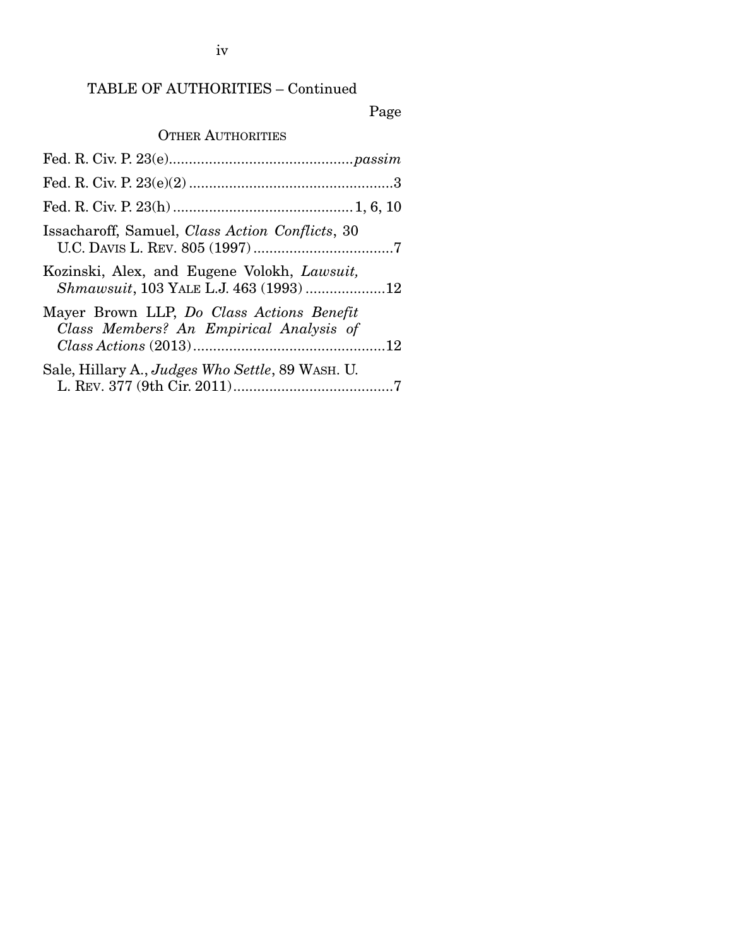### iv

### TABLE OF AUTHORITIES – Continued

### Page

### OTHER AUTHORITIES

| Issacharoff, Samuel, Class Action Conflicts, 30                                      |
|--------------------------------------------------------------------------------------|
| Kozinski, Alex, and Eugene Volokh, Lawsuit,<br>Shmawsuit, 103 YALE L.J. 463 (1993)12 |
| Mayer Brown LLP, Do Class Actions Benefit<br>Class Members? An Empirical Analysis of |
| Sale, Hillary A., <i>Judges Who Settle</i> , 89 WASH. U.                             |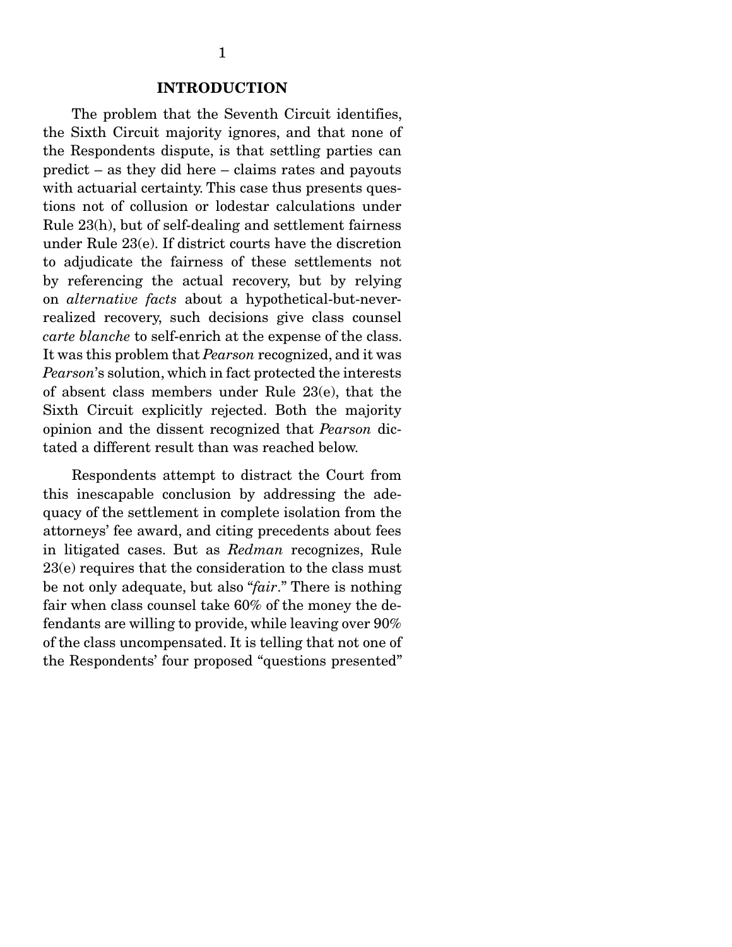#### INTRODUCTION

 The problem that the Seventh Circuit identifies, the Sixth Circuit majority ignores, and that none of the Respondents dispute, is that settling parties can predict – as they did here – claims rates and payouts with actuarial certainty. This case thus presents questions not of collusion or lodestar calculations under Rule 23(h), but of self-dealing and settlement fairness under Rule 23(e). If district courts have the discretion to adjudicate the fairness of these settlements not by referencing the actual recovery, but by relying on *alternative facts* about a hypothetical-but-neverrealized recovery, such decisions give class counsel *carte blanche* to self-enrich at the expense of the class. It was this problem that *Pearson* recognized, and it was *Pearson*'s solution, which in fact protected the interests of absent class members under Rule 23(e), that the Sixth Circuit explicitly rejected. Both the majority opinion and the dissent recognized that *Pearson* dictated a different result than was reached below.

 Respondents attempt to distract the Court from this inescapable conclusion by addressing the adequacy of the settlement in complete isolation from the attorneys' fee award, and citing precedents about fees in litigated cases. But as *Redman* recognizes, Rule 23(e) requires that the consideration to the class must be not only adequate, but also "*fair*." There is nothing fair when class counsel take 60% of the money the defendants are willing to provide, while leaving over 90% of the class uncompensated. It is telling that not one of the Respondents' four proposed "questions presented"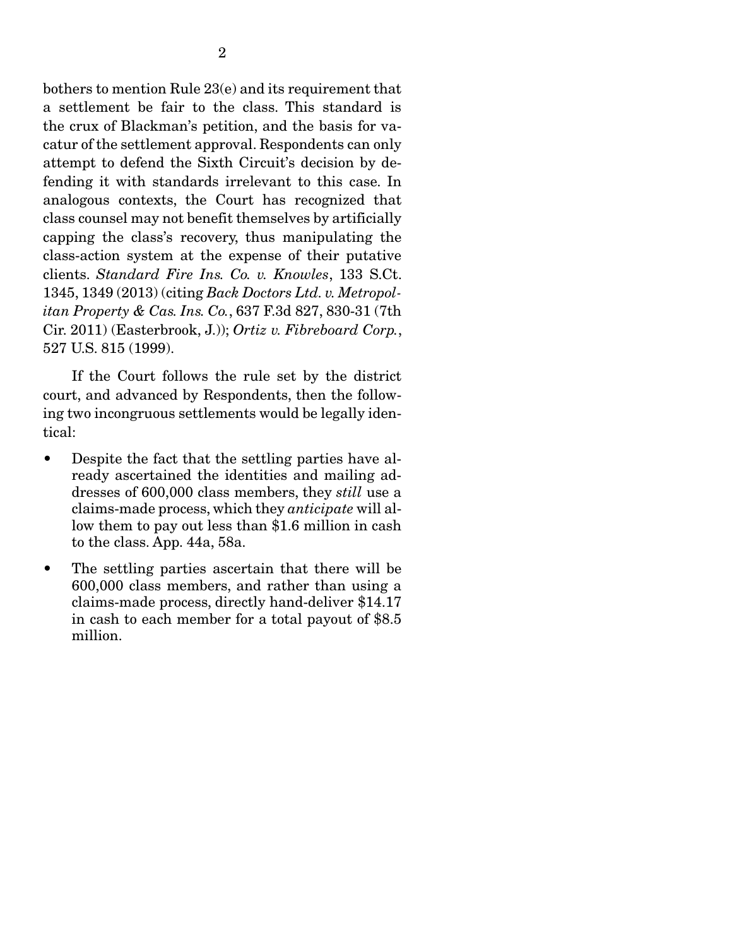bothers to mention Rule 23(e) and its requirement that a settlement be fair to the class. This standard is the crux of Blackman's petition, and the basis for vacatur of the settlement approval. Respondents can only attempt to defend the Sixth Circuit's decision by defending it with standards irrelevant to this case. In analogous contexts, the Court has recognized that class counsel may not benefit themselves by artificially capping the class's recovery, thus manipulating the class-action system at the expense of their putative clients. *Standard Fire Ins. Co. v. Knowles*, 133 S.Ct. 1345, 1349 (2013) (citing *Back Doctors Ltd. v. Metropolitan Property & Cas. Ins. Co.*, 637 F.3d 827, 830-31 (7th Cir. 2011) (Easterbrook, J.)); *Ortiz v. Fibreboard Corp.*, 527 U.S. 815 (1999).

 If the Court follows the rule set by the district court, and advanced by Respondents, then the following two incongruous settlements would be legally identical:

- Despite the fact that the settling parties have already ascertained the identities and mailing addresses of 600,000 class members, they *still* use a claims-made process, which they *anticipate* will allow them to pay out less than \$1.6 million in cash to the class. App. 44a, 58a.
- The settling parties ascertain that there will be 600,000 class members, and rather than using a claims-made process, directly hand-deliver \$14.17 in cash to each member for a total payout of \$8.5 million.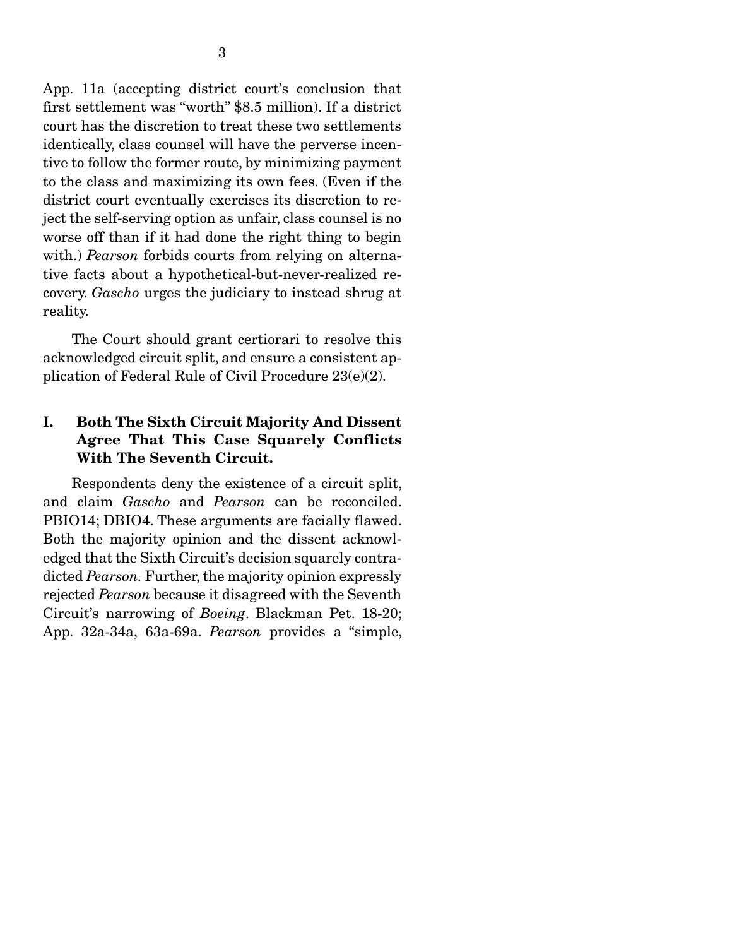App. 11a (accepting district court's conclusion that first settlement was "worth" \$8.5 million). If a district court has the discretion to treat these two settlements identically, class counsel will have the perverse incentive to follow the former route, by minimizing payment to the class and maximizing its own fees. (Even if the district court eventually exercises its discretion to reject the self-serving option as unfair, class counsel is no worse off than if it had done the right thing to begin with.) *Pearson* forbids courts from relying on alternative facts about a hypothetical-but-never-realized recovery. *Gascho* urges the judiciary to instead shrug at reality.

 The Court should grant certiorari to resolve this acknowledged circuit split, and ensure a consistent application of Federal Rule of Civil Procedure 23(e)(2).

### I. Both The Sixth Circuit Majority And Dissent Agree That This Case Squarely Conflicts With The Seventh Circuit.

 Respondents deny the existence of a circuit split, and claim *Gascho* and *Pearson* can be reconciled. PBIO14; DBIO4. These arguments are facially flawed. Both the majority opinion and the dissent acknowledged that the Sixth Circuit's decision squarely contradicted *Pearson.* Further, the majority opinion expressly rejected *Pearson* because it disagreed with the Seventh Circuit's narrowing of *Boeing*. Blackman Pet. 18-20; App. 32a-34a, 63a-69a. *Pearson* provides a "simple,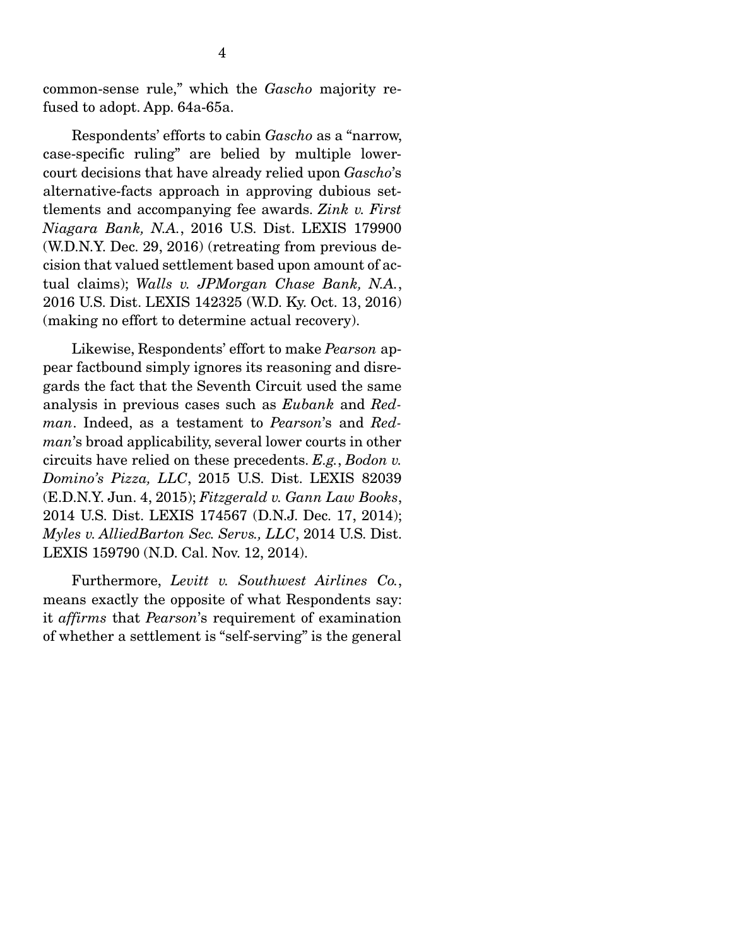common-sense rule," which the *Gascho* majority refused to adopt. App. 64a-65a.

 Respondents' efforts to cabin *Gascho* as a "narrow, case-specific ruling" are belied by multiple lowercourt decisions that have already relied upon *Gascho*'s alternative-facts approach in approving dubious settlements and accompanying fee awards. *Zink v. First Niagara Bank, N.A.*, 2016 U.S. Dist. LEXIS 179900 (W.D.N.Y. Dec. 29, 2016) (retreating from previous decision that valued settlement based upon amount of actual claims); *Walls v. JPMorgan Chase Bank, N.A.*, 2016 U.S. Dist. LEXIS 142325 (W.D. Ky. Oct. 13, 2016) (making no effort to determine actual recovery).

 Likewise, Respondents' effort to make *Pearson* appear factbound simply ignores its reasoning and disregards the fact that the Seventh Circuit used the same analysis in previous cases such as *Eubank* and *Redman*. Indeed, as a testament to *Pearson*'s and *Redman*'s broad applicability, several lower courts in other circuits have relied on these precedents. *E.g.*, *Bodon v. Domino's Pizza, LLC*, 2015 U.S. Dist. LEXIS 82039 (E.D.N.Y. Jun. 4, 2015); *Fitzgerald v. Gann Law Books*, 2014 U.S. Dist. LEXIS 174567 (D.N.J. Dec. 17, 2014); *Myles v. AlliedBarton Sec. Servs., LLC*, 2014 U.S. Dist. LEXIS 159790 (N.D. Cal. Nov. 12, 2014).

Furthermore, *Levitt v. Southwest Airlines Co.*, means exactly the opposite of what Respondents say: it *affirms* that *Pearson*'s requirement of examination of whether a settlement is "self-serving" is the general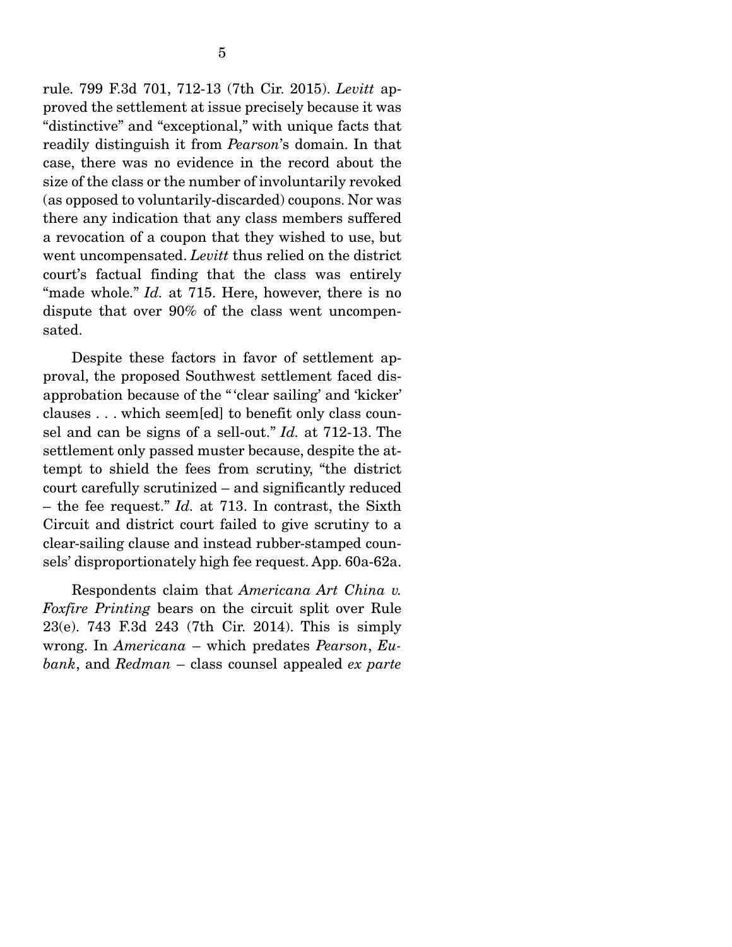rule. 799 F.3d 701, 712-13 (7th Cir. 2015). *Levitt* approved the settlement at issue precisely because it was "distinctive" and "exceptional," with unique facts that readily distinguish it from *Pearson*'s domain. In that case, there was no evidence in the record about the size of the class or the number of involuntarily revoked (as opposed to voluntarily-discarded) coupons. Nor was there any indication that any class members suffered a revocation of a coupon that they wished to use, but went uncompensated. *Levitt* thus relied on the district court's factual finding that the class was entirely "made whole." *Id.* at 715. Here, however, there is no dispute that over 90% of the class went uncompensated.

 Despite these factors in favor of settlement approval, the proposed Southwest settlement faced disapprobation because of the " 'clear sailing' and 'kicker' clauses . . . which seem[ed] to benefit only class counsel and can be signs of a sell-out." *Id.* at 712-13. The settlement only passed muster because, despite the attempt to shield the fees from scrutiny, "the district court carefully scrutinized – and significantly reduced – the fee request." *Id.* at 713. In contrast, the Sixth Circuit and district court failed to give scrutiny to a clear-sailing clause and instead rubber-stamped counsels' disproportionately high fee request. App. 60a-62a.

 Respondents claim that *Americana Art China v. Foxfire Printing* bears on the circuit split over Rule 23(e). 743 F.3d 243 (7th Cir. 2014). This is simply wrong. In *Americana* – which predates *Pearson*, *Eubank*, and *Redman* – class counsel appealed *ex parte*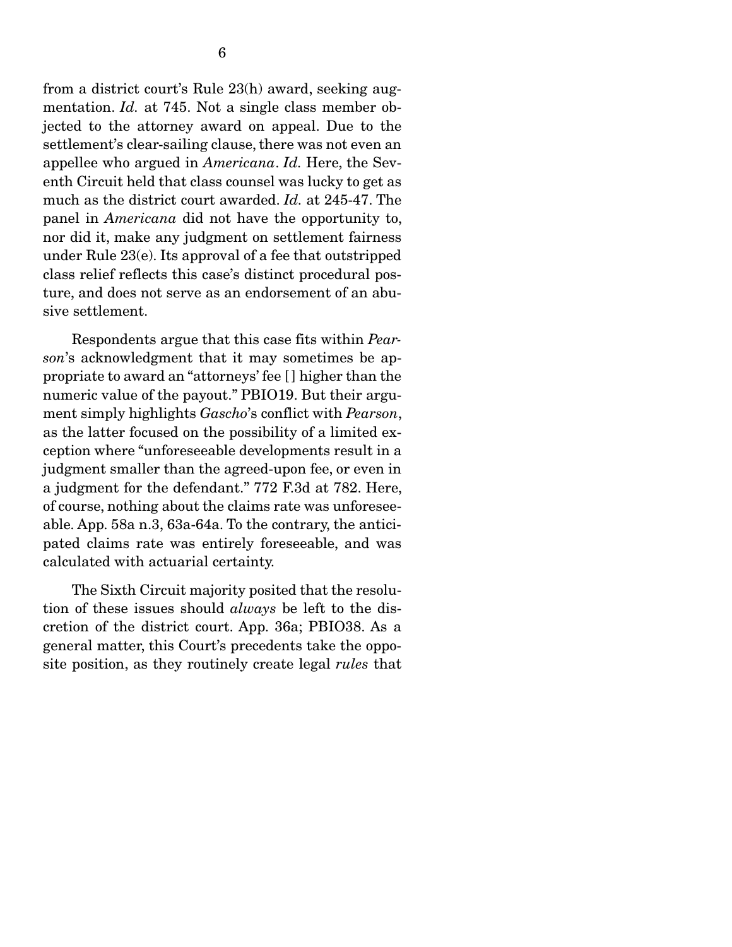from a district court's Rule 23(h) award, seeking augmentation. *Id.* at 745. Not a single class member objected to the attorney award on appeal. Due to the settlement's clear-sailing clause, there was not even an appellee who argued in *Americana*. *Id.* Here, the Seventh Circuit held that class counsel was lucky to get as much as the district court awarded. *Id.* at 245-47. The panel in *Americana* did not have the opportunity to, nor did it, make any judgment on settlement fairness under Rule 23(e). Its approval of a fee that outstripped class relief reflects this case's distinct procedural posture, and does not serve as an endorsement of an abusive settlement.

 Respondents argue that this case fits within *Pearson*'s acknowledgment that it may sometimes be appropriate to award an "attorneys' fee [ ] higher than the numeric value of the payout." PBIO19. But their argument simply highlights *Gascho*'s conflict with *Pearson*, as the latter focused on the possibility of a limited exception where "unforeseeable developments result in a judgment smaller than the agreed-upon fee, or even in a judgment for the defendant." 772 F.3d at 782. Here, of course, nothing about the claims rate was unforeseeable. App. 58a n.3, 63a-64a. To the contrary, the anticipated claims rate was entirely foreseeable, and was calculated with actuarial certainty.

 The Sixth Circuit majority posited that the resolution of these issues should *always* be left to the discretion of the district court. App. 36a; PBIO38. As a general matter, this Court's precedents take the opposite position, as they routinely create legal *rules* that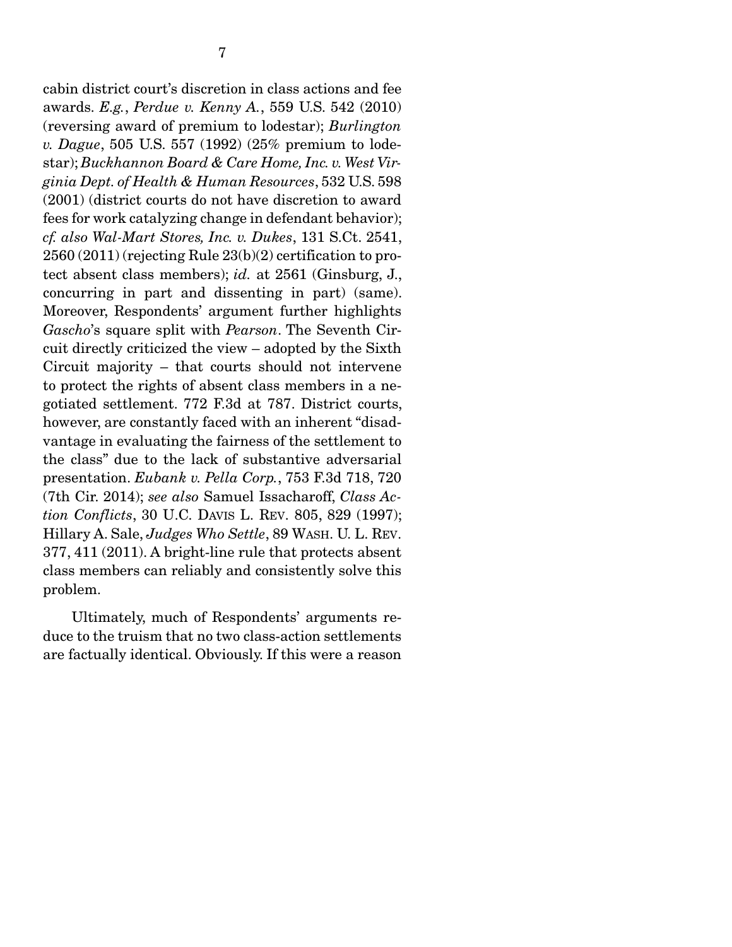cabin district court's discretion in class actions and fee awards. *E.g.*, *Perdue v. Kenny A.*, 559 U.S. 542 (2010) (reversing award of premium to lodestar); *Burlington v. Dague*, 505 U.S. 557 (1992) (25% premium to lodestar); *Buckhannon Board & Care Home, Inc. v. West Virginia Dept. of Health & Human Resources*, 532 U.S. 598 (2001) (district courts do not have discretion to award fees for work catalyzing change in defendant behavior); *cf. also Wal-Mart Stores, Inc. v. Dukes*, 131 S.Ct. 2541, 2560 (2011) (rejecting Rule 23(b)(2) certification to protect absent class members); *id.* at 2561 (Ginsburg, J., concurring in part and dissenting in part) (same). Moreover, Respondents' argument further highlights *Gascho*'s square split with *Pearson*. The Seventh Circuit directly criticized the view – adopted by the Sixth Circuit majority – that courts should not intervene to protect the rights of absent class members in a negotiated settlement. 772 F.3d at 787. District courts, however, are constantly faced with an inherent "disadvantage in evaluating the fairness of the settlement to the class" due to the lack of substantive adversarial presentation. *Eubank v. Pella Corp.*, 753 F.3d 718, 720 (7th Cir. 2014); *see also* Samuel Issacharoff, *Class Action Conflicts*, 30 U.C. DAVIS L. REV. 805, 829 (1997); Hillary A. Sale, *Judges Who Settle*, 89 WASH. U. L. REV. 377, 411 (2011). A bright-line rule that protects absent class members can reliably and consistently solve this problem.

 Ultimately, much of Respondents' arguments reduce to the truism that no two class-action settlements are factually identical. Obviously. If this were a reason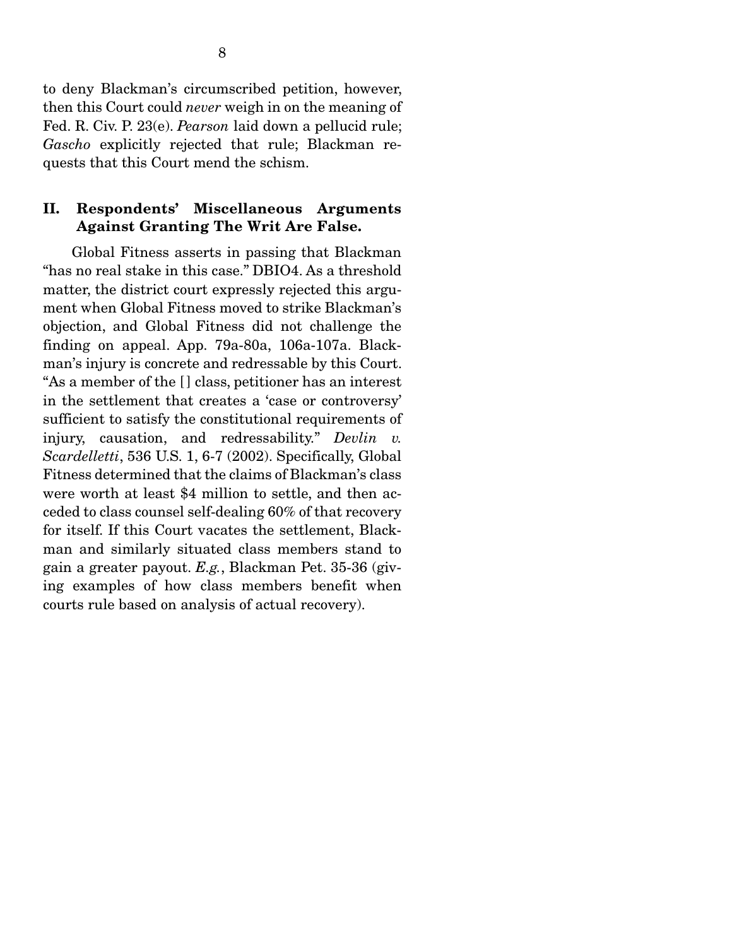to deny Blackman's circumscribed petition, however, then this Court could *never* weigh in on the meaning of Fed. R. Civ. P. 23(e). *Pearson* laid down a pellucid rule; *Gascho* explicitly rejected that rule; Blackman requests that this Court mend the schism.

#### II. Respondents' Miscellaneous Arguments Against Granting The Writ Are False.

 Global Fitness asserts in passing that Blackman "has no real stake in this case." DBIO4. As a threshold matter, the district court expressly rejected this argument when Global Fitness moved to strike Blackman's objection, and Global Fitness did not challenge the finding on appeal. App. 79a-80a, 106a-107a. Blackman's injury is concrete and redressable by this Court. "As a member of the [ ] class, petitioner has an interest in the settlement that creates a 'case or controversy' sufficient to satisfy the constitutional requirements of injury, causation, and redressability." *Devlin v. Scardelletti*, 536 U.S. 1, 6-7 (2002). Specifically, Global Fitness determined that the claims of Blackman's class were worth at least \$4 million to settle, and then acceded to class counsel self-dealing 60% of that recovery for itself. If this Court vacates the settlement, Blackman and similarly situated class members stand to gain a greater payout. *E.g.*, Blackman Pet. 35-36 (giving examples of how class members benefit when courts rule based on analysis of actual recovery).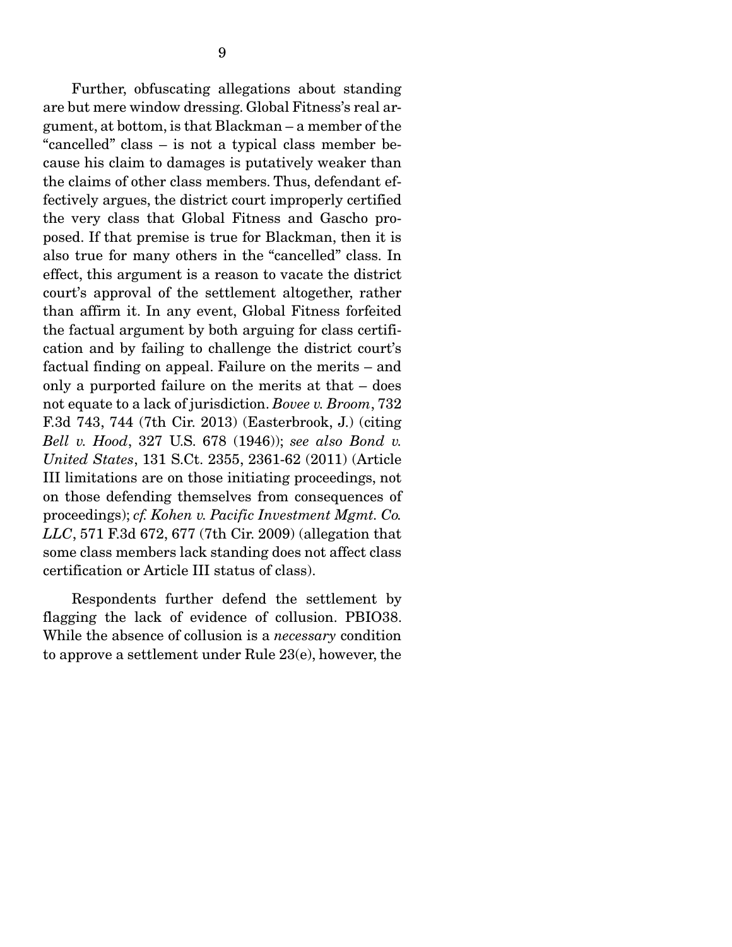Further, obfuscating allegations about standing are but mere window dressing. Global Fitness's real argument, at bottom, is that Blackman – a member of the "cancelled" class – is not a typical class member because his claim to damages is putatively weaker than the claims of other class members. Thus, defendant effectively argues, the district court improperly certified the very class that Global Fitness and Gascho proposed. If that premise is true for Blackman, then it is also true for many others in the "cancelled" class. In effect, this argument is a reason to vacate the district court's approval of the settlement altogether, rather than affirm it. In any event, Global Fitness forfeited the factual argument by both arguing for class certification and by failing to challenge the district court's factual finding on appeal. Failure on the merits – and only a purported failure on the merits at that – does not equate to a lack of jurisdiction. *Bovee v. Broom*, 732 F.3d 743, 744 (7th Cir. 2013) (Easterbrook, J.) (citing *Bell v. Hood*, 327 U.S. 678 (1946)); *see also Bond v. United States*, 131 S.Ct. 2355, 2361-62 (2011) (Article III limitations are on those initiating proceedings, not on those defending themselves from consequences of proceedings); *cf. Kohen v. Pacific Investment Mgmt. Co. LLC*, 571 F.3d 672, 677 (7th Cir. 2009) (allegation that some class members lack standing does not affect class certification or Article III status of class).

 Respondents further defend the settlement by flagging the lack of evidence of collusion. PBIO38. While the absence of collusion is a *necessary* condition to approve a settlement under Rule 23(e), however, the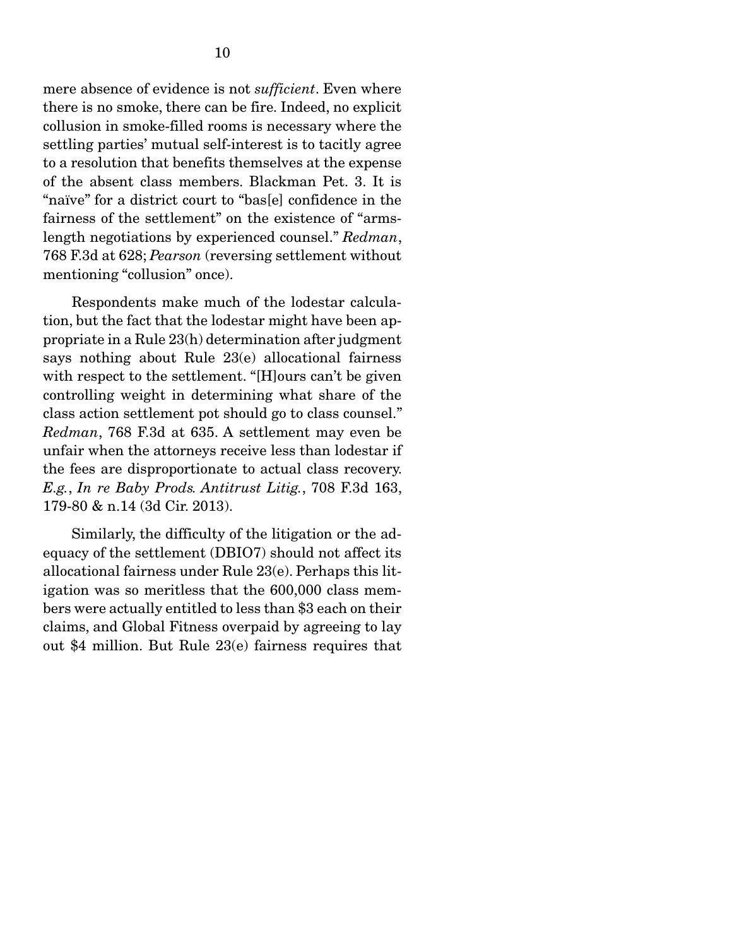mere absence of evidence is not *sufficient*. Even where there is no smoke, there can be fire. Indeed, no explicit collusion in smoke-filled rooms is necessary where the settling parties' mutual self-interest is to tacitly agree to a resolution that benefits themselves at the expense of the absent class members. Blackman Pet. 3. It is "naïve" for a district court to "bas[e] confidence in the fairness of the settlement" on the existence of "armslength negotiations by experienced counsel." *Redman*, 768 F.3d at 628; *Pearson* (reversing settlement without mentioning "collusion" once).

 Respondents make much of the lodestar calculation, but the fact that the lodestar might have been appropriate in a Rule 23(h) determination after judgment says nothing about Rule 23(e) allocational fairness with respect to the settlement. "[H]ours can't be given controlling weight in determining what share of the class action settlement pot should go to class counsel." *Redman*, 768 F.3d at 635. A settlement may even be unfair when the attorneys receive less than lodestar if the fees are disproportionate to actual class recovery. *E.g.*, *In re Baby Prods. Antitrust Litig.*, 708 F.3d 163, 179-80 & n.14 (3d Cir. 2013).

 Similarly, the difficulty of the litigation or the adequacy of the settlement (DBIO7) should not affect its allocational fairness under Rule 23(e). Perhaps this litigation was so meritless that the 600,000 class members were actually entitled to less than \$3 each on their claims, and Global Fitness overpaid by agreeing to lay out \$4 million. But Rule 23(e) fairness requires that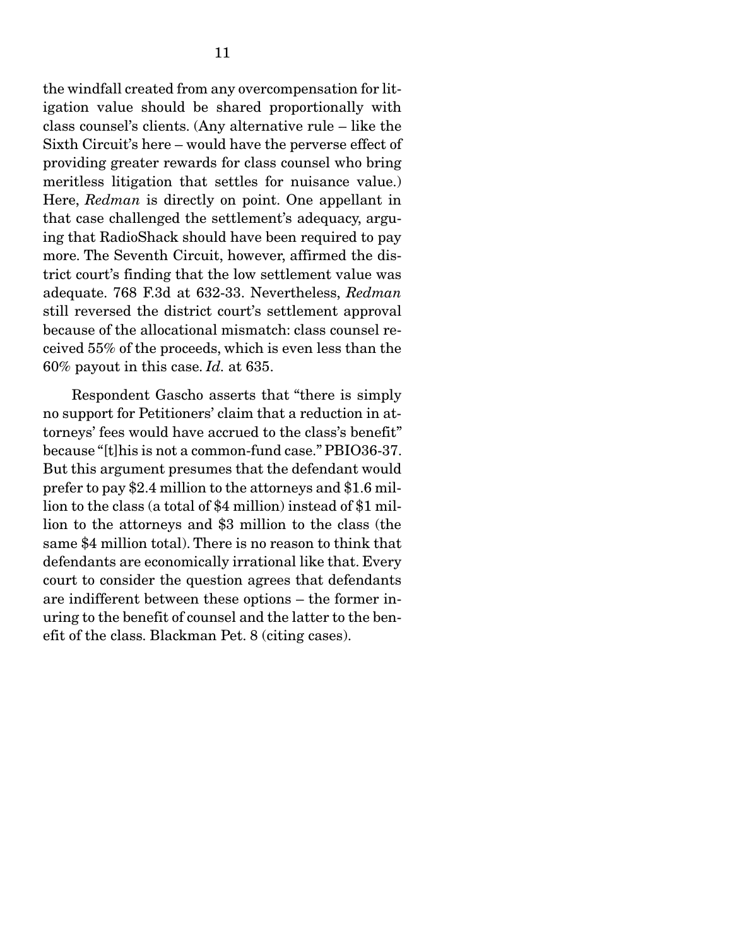the windfall created from any overcompensation for litigation value should be shared proportionally with class counsel's clients. (Any alternative rule – like the Sixth Circuit's here – would have the perverse effect of providing greater rewards for class counsel who bring meritless litigation that settles for nuisance value.) Here, *Redman* is directly on point. One appellant in that case challenged the settlement's adequacy, arguing that RadioShack should have been required to pay more. The Seventh Circuit, however, affirmed the district court's finding that the low settlement value was adequate. 768 F.3d at 632-33. Nevertheless, *Redman*  still reversed the district court's settlement approval because of the allocational mismatch: class counsel received 55% of the proceeds, which is even less than the 60% payout in this case. *Id.* at 635.

 Respondent Gascho asserts that "there is simply no support for Petitioners' claim that a reduction in attorneys' fees would have accrued to the class's benefit" because "[t]his is not a common-fund case." PBIO36-37. But this argument presumes that the defendant would prefer to pay \$2.4 million to the attorneys and \$1.6 million to the class (a total of \$4 million) instead of \$1 million to the attorneys and \$3 million to the class (the same \$4 million total). There is no reason to think that defendants are economically irrational like that. Every court to consider the question agrees that defendants are indifferent between these options – the former inuring to the benefit of counsel and the latter to the benefit of the class. Blackman Pet. 8 (citing cases).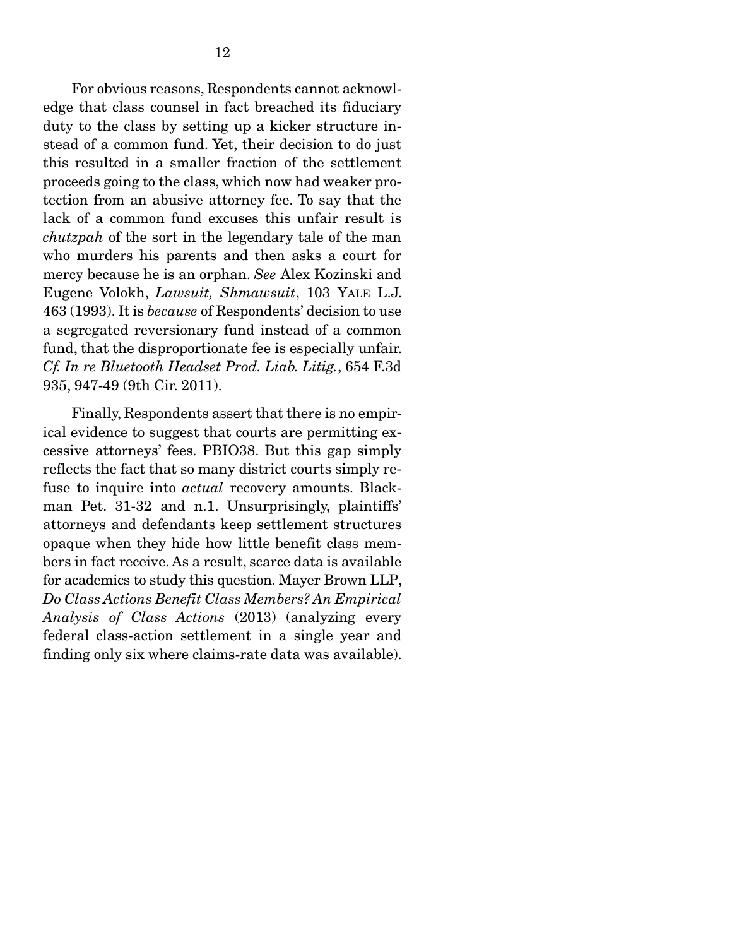For obvious reasons, Respondents cannot acknowledge that class counsel in fact breached its fiduciary duty to the class by setting up a kicker structure instead of a common fund. Yet, their decision to do just this resulted in a smaller fraction of the settlement proceeds going to the class, which now had weaker protection from an abusive attorney fee. To say that the lack of a common fund excuses this unfair result is *chutzpah* of the sort in the legendary tale of the man who murders his parents and then asks a court for mercy because he is an orphan. *See* Alex Kozinski and Eugene Volokh, *Lawsuit, Shmawsuit*, 103 YALE L.J. 463 (1993). It is *because* of Respondents' decision to use a segregated reversionary fund instead of a common fund, that the disproportionate fee is especially unfair. *Cf. In re Bluetooth Headset Prod. Liab. Litig.*, 654 F.3d 935, 947-49 (9th Cir. 2011).

 Finally, Respondents assert that there is no empirical evidence to suggest that courts are permitting excessive attorneys' fees. PBIO38. But this gap simply reflects the fact that so many district courts simply refuse to inquire into *actual* recovery amounts. Blackman Pet. 31-32 and n.1. Unsurprisingly, plaintiffs' attorneys and defendants keep settlement structures opaque when they hide how little benefit class members in fact receive. As a result, scarce data is available for academics to study this question. Mayer Brown LLP, *Do Class Actions Benefit Class Members? An Empirical Analysis of Class Actions* (2013) (analyzing every federal class-action settlement in a single year and finding only six where claims-rate data was available).